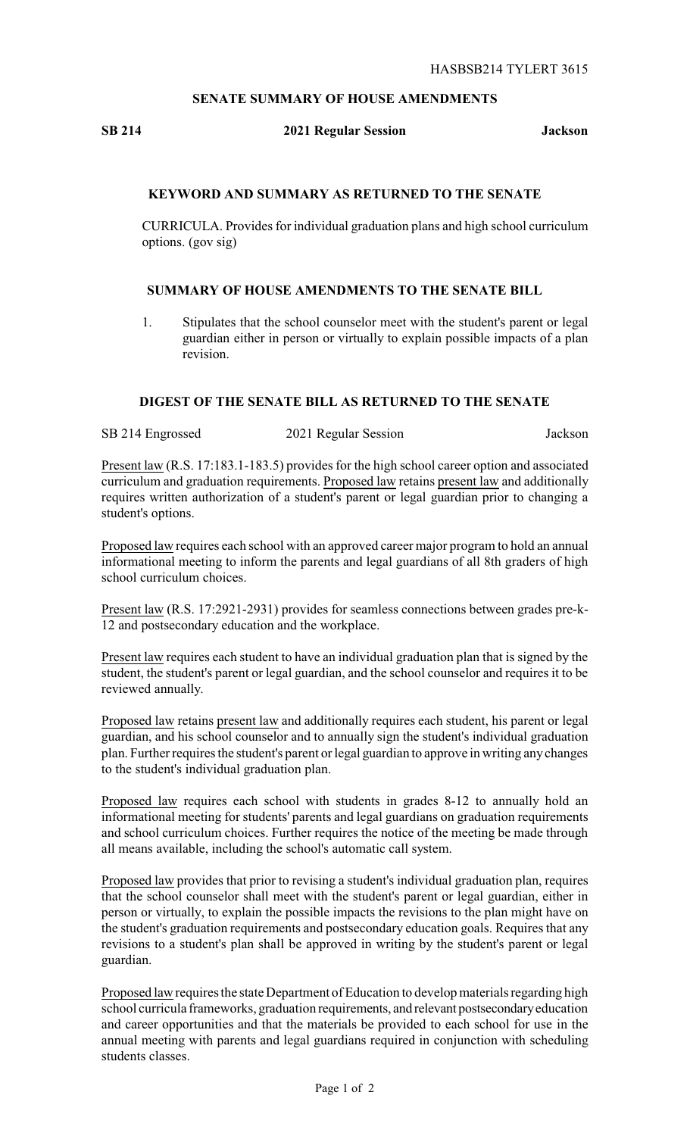# **SENATE SUMMARY OF HOUSE AMENDMENTS**

#### **SB 214 2021 Regular Session Jackson**

## **KEYWORD AND SUMMARY AS RETURNED TO THE SENATE**

CURRICULA. Provides for individual graduation plans and high school curriculum options. (gov sig)

#### **SUMMARY OF HOUSE AMENDMENTS TO THE SENATE BILL**

1. Stipulates that the school counselor meet with the student's parent or legal guardian either in person or virtually to explain possible impacts of a plan revision.

### **DIGEST OF THE SENATE BILL AS RETURNED TO THE SENATE**

SB 214 Engrossed 2021 Regular Session Jackson

Present law (R.S. 17:183.1-183.5) provides for the high school career option and associated curriculum and graduation requirements. Proposed law retains present law and additionally requires written authorization of a student's parent or legal guardian prior to changing a student's options.

Proposed law requires each school with an approved career major program to hold an annual informational meeting to inform the parents and legal guardians of all 8th graders of high school curriculum choices.

Present law (R.S. 17:2921-2931) provides for seamless connections between grades pre-k-12 and postsecondary education and the workplace.

Present law requires each student to have an individual graduation plan that is signed by the student, the student's parent or legal guardian, and the school counselor and requires it to be reviewed annually.

Proposed law retains present law and additionally requires each student, his parent or legal guardian, and his school counselor and to annually sign the student's individual graduation plan. Further requires the student's parent or legal guardian to approve in writing anychanges to the student's individual graduation plan.

Proposed law requires each school with students in grades 8-12 to annually hold an informational meeting for students' parents and legal guardians on graduation requirements and school curriculum choices. Further requires the notice of the meeting be made through all means available, including the school's automatic call system.

Proposed law provides that prior to revising a student's individual graduation plan, requires that the school counselor shall meet with the student's parent or legal guardian, either in person or virtually, to explain the possible impacts the revisions to the plan might have on the student's graduation requirements and postsecondary education goals. Requires that any revisions to a student's plan shall be approved in writing by the student's parent or legal guardian.

Proposed law requires the state Department of Education to develop materials regarding high school curricula frameworks, graduation requirements, and relevant postsecondaryeducation and career opportunities and that the materials be provided to each school for use in the annual meeting with parents and legal guardians required in conjunction with scheduling students classes.